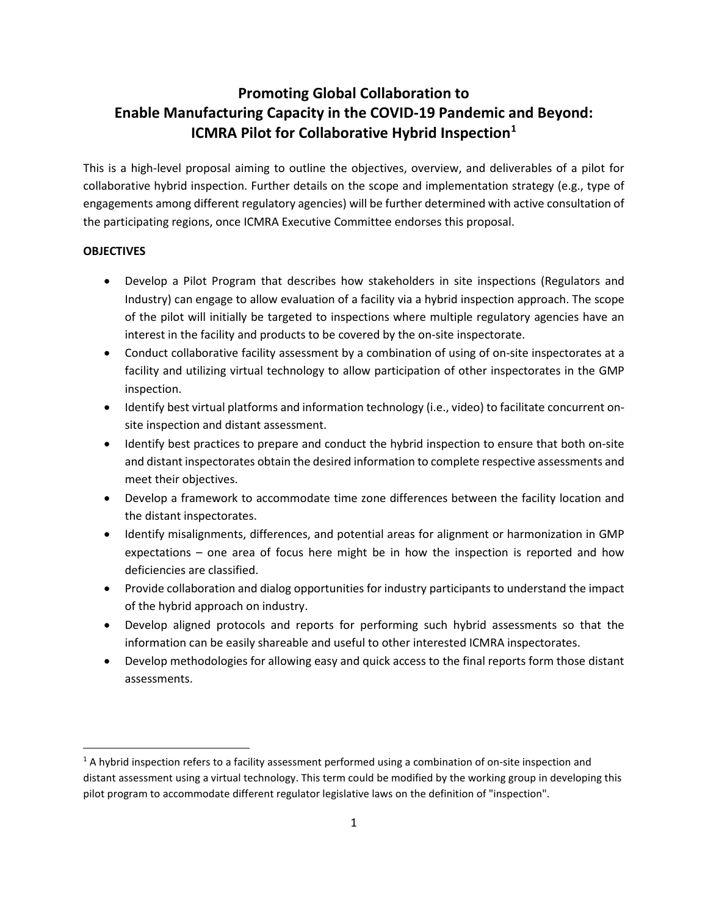## **Promoting Global Collaboration to Enable Manufacturing Capacity in the COVID-19 Pandemic and Beyond: ICMRA Pilot for Collaborative Hybrid Inspection[1](#page-0-0)**

This is a high-level proposal aiming to outline the objectives, overview, and deliverables of a pilot for collaborative hybrid inspection. Further details on the scope and implementation strategy (e.g., type of engagements among different regulatory agencies) will be further determined with active consultation of the participating regions, once ICMRA Executive Committee endorses this proposal.

## **OBJECTIVES**

- Develop a Pilot Program that describes how stakeholders in site inspections (Regulators and Industry) can engage to allow evaluation of a facility via a hybrid inspection approach. The scope of the pilot will initially be targeted to inspections where multiple regulatory agencies have an interest in the facility and products to be covered by the on-site inspectorate.
- Conduct collaborative facility assessment by a combination of using of on-site inspectorates at a facility and utilizing virtual technology to allow participation of other inspectorates in the GMP inspection.
- Identify best virtual platforms and information technology (i.e., video) to facilitate concurrent onsite inspection and distant assessment.
- Identify best practices to prepare and conduct the hybrid inspection to ensure that both on-site and distant inspectorates obtain the desired information to complete respective assessments and meet their objectives.
- Develop a framework to accommodate time zone differences between the facility location and the distant inspectorates.
- Identify misalignments, differences, and potential areas for alignment or harmonization in GMP expectations – one area of focus here might be in how the inspection is reported and how deficiencies are classified.
- Provide collaboration and dialog opportunities for industry participants to understand the impact of the hybrid approach on industry.
- Develop aligned protocols and reports for performing such hybrid assessments so that the information can be easily shareable and useful to other interested ICMRA inspectorates.
- Develop methodologies for allowing easy and quick access to the final reports form those distant assessments.

<span id="page-0-0"></span> $1$  A hybrid inspection refers to a facility assessment performed using a combination of on-site inspection and distant assessment using a virtual technology. This term could be modified by the working group in developing this pilot program to accommodate different regulator legislative laws on the definition of "inspection".